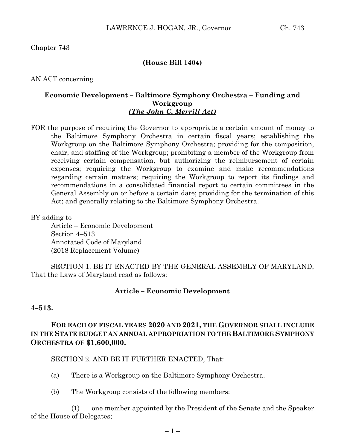Chapter 743

### **(House Bill 1404)**

AN ACT concerning

## **Economic Development – Baltimore Symphony Orchestra – Funding and Workgroup**  *(The John C. Merrill Act)*

FOR the purpose of requiring the Governor to appropriate a certain amount of money to the Baltimore Symphony Orchestra in certain fiscal years; establishing the Workgroup on the Baltimore Symphony Orchestra; providing for the composition, chair, and staffing of the Workgroup; prohibiting a member of the Workgroup from receiving certain compensation, but authorizing the reimbursement of certain expenses; requiring the Workgroup to examine and make recommendations regarding certain matters; requiring the Workgroup to report its findings and recommendations in a consolidated financial report to certain committees in the General Assembly on or before a certain date; providing for the termination of this Act; and generally relating to the Baltimore Symphony Orchestra.

BY adding to

Article – Economic Development Section 4–513 Annotated Code of Maryland (2018 Replacement Volume)

SECTION 1. BE IT ENACTED BY THE GENERAL ASSEMBLY OF MARYLAND, That the Laws of Maryland read as follows:

#### **Article – Economic Development**

#### **4–513.**

# **FOR EACH OF FISCAL YEARS 2020 AND 2021, THE GOVERNOR SHALL INCLUDE IN THE STATE BUDGET AN ANNUAL APPROPRIATION TO THE BALTIMORE SYMPHONY ORCHESTRA OF \$1,600,000.**

SECTION 2. AND BE IT FURTHER ENACTED, That:

- (a) There is a Workgroup on the Baltimore Symphony Orchestra.
- (b) The Workgroup consists of the following members:

(1) one member appointed by the President of the Senate and the Speaker of the House of Delegates;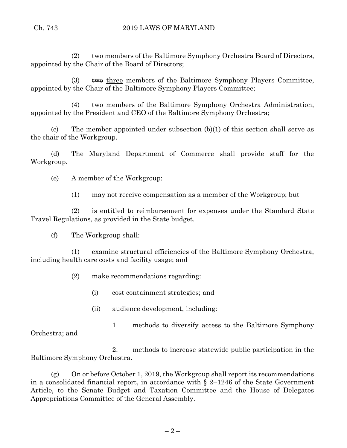(2) two members of the Baltimore Symphony Orchestra Board of Directors, appointed by the Chair of the Board of Directors;

(3)  $\quad$  two three members of the Baltimore Symphony Players Committee, appointed by the Chair of the Baltimore Symphony Players Committee;

(4) two members of the Baltimore Symphony Orchestra Administration, appointed by the President and CEO of the Baltimore Symphony Orchestra;

(c) The member appointed under subsection (b)(1) of this section shall serve as the chair of the Workgroup.

(d) The Maryland Department of Commerce shall provide staff for the Workgroup.

(e) A member of the Workgroup:

(1) may not receive compensation as a member of the Workgroup; but

(2) is entitled to reimbursement for expenses under the Standard State Travel Regulations, as provided in the State budget.

(f) The Workgroup shall:

(1) examine structural efficiencies of the Baltimore Symphony Orchestra, including health care costs and facility usage; and

(2) make recommendations regarding:

- (i) cost containment strategies; and
- (ii) audience development, including:
- 1. methods to diversify access to the Baltimore Symphony

Orchestra; and

2. methods to increase statewide public participation in the Baltimore Symphony Orchestra.

(g) On or before October 1, 2019, the Workgroup shall report its recommendations in a consolidated financial report, in accordance with  $\S$  2–1246 of the State Government Article, to the Senate Budget and Taxation Committee and the House of Delegates Appropriations Committee of the General Assembly.